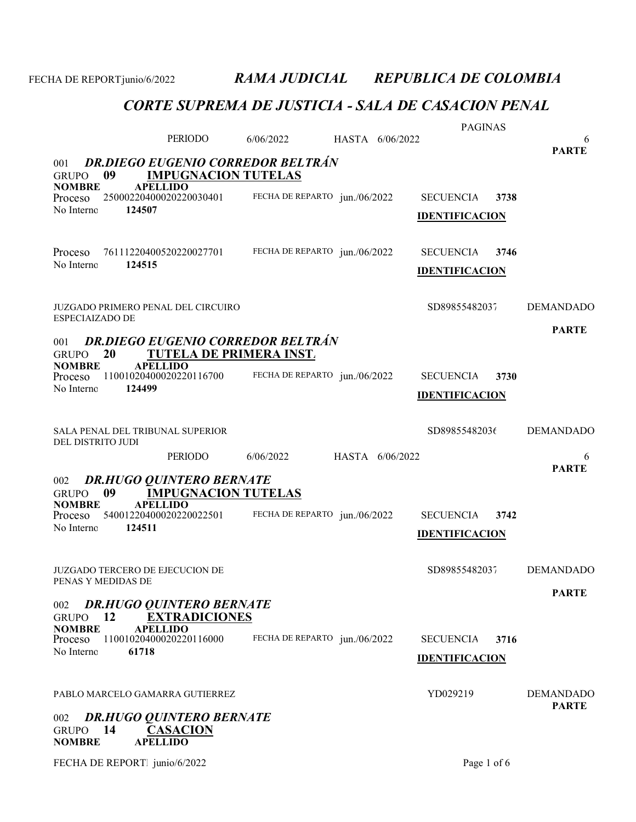|                                        |                                                               |                                          |                 |                 | <b>PAGINAS</b>        |      |                                  |
|----------------------------------------|---------------------------------------------------------------|------------------------------------------|-----------------|-----------------|-----------------------|------|----------------------------------|
|                                        | <b>PERIODO</b>                                                | 6/06/2022                                |                 | HASTA 6/06/2022 |                       |      | 6<br><b>PARTE</b>                |
| 001                                    |                                                               | <b>DR.DIEGO EUGENIO CORREDOR BELTRÁN</b> |                 |                 |                       |      |                                  |
| 09<br><b>GRUPO</b>                     | <b>IMPUGNACION TUTELAS</b>                                    |                                          |                 |                 |                       |      |                                  |
| <b>NOMBRE</b><br>Proceso               | <b>APELLIDO</b><br>25000220400020220030401                    | FECHA DE REPARTO jun./06/2022            |                 |                 | <b>SECUENCIA</b>      | 3738 |                                  |
| No Interno<br>124507                   |                                                               |                                          |                 |                 | <b>IDENTIFICACION</b> |      |                                  |
|                                        |                                                               |                                          |                 |                 |                       |      |                                  |
| Proceso                                | 76111220400520220027701                                       | FECHA DE REPARTO jun./06/2022            |                 |                 | <b>SECUENCIA</b>      | 3746 |                                  |
| 124515<br>No Interno                   |                                                               |                                          |                 |                 | <b>IDENTIFICACION</b> |      |                                  |
|                                        |                                                               |                                          |                 |                 |                       |      |                                  |
| JUZGADO PRIMERO PENAL DEL CIRCUIRO     |                                                               |                                          |                 |                 | SD89855482037         |      | <b>DEMANDADO</b>                 |
| <b>ESPECIAIZADO DE</b>                 |                                                               |                                          |                 |                 |                       |      |                                  |
| 001                                    |                                                               | <b>DR.DIEGO EUGENIO CORREDOR BELTRÁN</b> |                 |                 |                       |      | <b>PARTE</b>                     |
| 20<br><b>GRUPO</b>                     | <b>TUTELA DE PRIMERA INST.</b>                                |                                          |                 |                 |                       |      |                                  |
| <b>NOMBRE</b><br>Proceso               | <b>APELLIDO</b><br>11001020400020220116700                    | FECHA DE REPARTO jun./06/2022            |                 |                 | <b>SECUENCIA</b>      | 3730 |                                  |
| No Interno<br>124499                   |                                                               |                                          |                 |                 | <b>IDENTIFICACION</b> |      |                                  |
|                                        |                                                               |                                          |                 |                 |                       |      |                                  |
| SALA PENAL DEL TRIBUNAL SUPERIOR       |                                                               |                                          |                 |                 | SD89855482036         |      | <b>DEMANDADO</b>                 |
| DEL DISTRITO JUDI                      |                                                               |                                          |                 |                 |                       |      |                                  |
|                                        |                                                               |                                          |                 |                 |                       |      |                                  |
|                                        | PERIODO                                                       | 6/06/2022                                | HASTA 6/06/2022 |                 |                       |      | 6                                |
|                                        |                                                               |                                          |                 |                 |                       |      | <b>PARTE</b>                     |
| 002<br>09<br><b>GRUPO</b>              | <b>DR.HUGO QUINTERO BERNATE</b><br><b>IMPUGNACION TUTELAS</b> |                                          |                 |                 |                       |      |                                  |
| <b>NOMBRE</b>                          | <b>APELLIDO</b><br>54001220400020220022501                    | FECHA DE REPARTO jun./06/2022            |                 |                 | <b>SECUENCIA</b>      | 3742 |                                  |
| Proceso<br>No Interno<br>124511        |                                                               |                                          |                 |                 |                       |      |                                  |
|                                        |                                                               |                                          |                 |                 | <b>IDENTIFICACION</b> |      |                                  |
| <b>JUZGADO TERCERO DE EJECUCION DE</b> |                                                               |                                          |                 |                 |                       |      |                                  |
| PENAS Y MEDIDAS DE                     |                                                               |                                          |                 |                 | SD89855482037         |      | <b>DEMANDADO</b>                 |
|                                        |                                                               |                                          |                 |                 |                       |      | <b>PARTE</b>                     |
| 002<br>12<br><b>GRUPO</b>              | <b>DR.HUGO QUINTERO BERNATE</b><br><b>EXTRADICIONES</b>       |                                          |                 |                 |                       |      |                                  |
| <b>NOMBRE</b><br>Proceso               | <b>APELLIDO</b><br>11001020400020220116000                    |                                          |                 |                 | <b>SECUENCIA</b>      | 3716 |                                  |
| No Interno<br>61718                    |                                                               | FECHA DE REPARTO jun./06/2022            |                 |                 |                       |      |                                  |
|                                        |                                                               |                                          |                 |                 | <b>IDENTIFICACION</b> |      |                                  |
| PABLO MARCELO GAMARRA GUTIERREZ        |                                                               |                                          |                 |                 |                       |      |                                  |
|                                        |                                                               |                                          |                 |                 | YD029219              |      | <b>DEMANDADO</b><br><b>PARTE</b> |
| 002                                    | <b>DR.HUGO QUINTERO BERNATE</b>                               |                                          |                 |                 |                       |      |                                  |
| 14<br><b>GRUPO</b><br><b>NOMBRE</b>    | <b>CASACION</b><br><b>APELLIDO</b>                            |                                          |                 |                 |                       |      |                                  |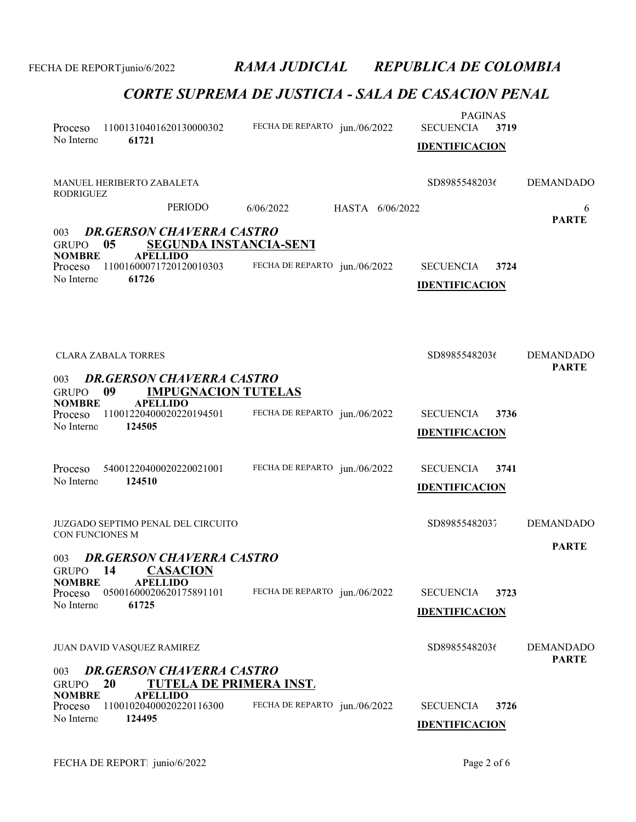| Proceso<br>No Interno                                         | 11001310401620130000302<br>61721                                                                                                 | FECHA DE REPARTO jun./06/2022 |                 | <b>PAGINAS</b><br><b>SECUENCIA</b><br><b>IDENTIFICACION</b> | 3719 |                                  |
|---------------------------------------------------------------|----------------------------------------------------------------------------------------------------------------------------------|-------------------------------|-----------------|-------------------------------------------------------------|------|----------------------------------|
| <b>RODRIGUEZ</b>                                              | MANUEL HERIBERTO ZABALETA                                                                                                        |                               |                 | SD89855482036                                               |      | <b>DEMANDADO</b>                 |
|                                                               | PERIODO                                                                                                                          | 6/06/2022                     | HASTA 6/06/2022 |                                                             |      | 6<br><b>PARTE</b>                |
| 003<br><b>GRUPO</b><br><b>NOMBRE</b><br>Proceso<br>No Interno | <b>DR.GERSON CHAVERRA CASTRO</b><br><b>SEGUNDA INSTANCIA-SENT</b><br>05<br><b>APELLIDO</b><br>11001600071720120010303<br>61726   | FECHA DE REPARTO jun./06/2022 |                 | <b>SECUENCIA</b><br><b>IDENTIFICACION</b>                   | 3724 |                                  |
| 003<br><b>GRUPO</b>                                           | <b>CLARA ZABALA TORRES</b><br><b>DR.GERSON CHAVERRA CASTRO</b><br><b>IMPUGNACION TUTELAS</b><br>09                               |                               |                 | SD89855482036                                               |      | <b>DEMANDADO</b><br><b>PARTE</b> |
| <b>NOMBRE</b><br>Proceso<br>No Interno                        | <b>APELLIDO</b><br>11001220400020220194501<br>124505                                                                             | FECHA DE REPARTO jun./06/2022 |                 | <b>SECUENCIA</b><br><b>IDENTIFICACION</b>                   | 3736 |                                  |
| Proceso<br>No Interno                                         | 54001220400020220021001<br>124510                                                                                                | FECHA DE REPARTO jun./06/2022 |                 | <b>SECUENCIA</b><br><b>IDENTIFICACION</b>                   | 3741 |                                  |
| CON FUNCIONES M                                               | <b>JUZGADO SEPTIMO PENAL DEL CIRCUITO</b>                                                                                        |                               |                 | SD89855482037                                               |      | <b>DEMANDADO</b>                 |
| 003                                                           | <b>DR.GERSON CHAVERRA CASTRO</b><br>GRUPO 14 CASACION                                                                            |                               |                 |                                                             |      | <b>PARTE</b>                     |
| <b>NOMBRE</b><br>Proceso<br>No Interno                        | <b>APELLIDO</b><br>05001600020620175891101<br>61725                                                                              | FECHA DE REPARTO jun./06/2022 |                 | <b>SECUENCIA</b><br><b>IDENTIFICACION</b>                   | 3723 |                                  |
|                                                               | JUAN DAVID VASQUEZ RAMIREZ                                                                                                       |                               |                 | SD89855482036                                               |      | <b>DEMANDADO</b><br><b>PARTE</b> |
| 003<br><b>GRUPO</b><br><b>NOMBRE</b><br>Proceso<br>No Interno | <b>DR.GERSON CHAVERRA CASTRO</b><br>20<br><b>TUTELA DE PRIMERA INST.</b><br><b>APELLIDO</b><br>11001020400020220116300<br>124495 | FECHA DE REPARTO jun./06/2022 |                 | <b>SECUENCIA</b><br><b>IDENTIFICACION</b>                   | 3726 |                                  |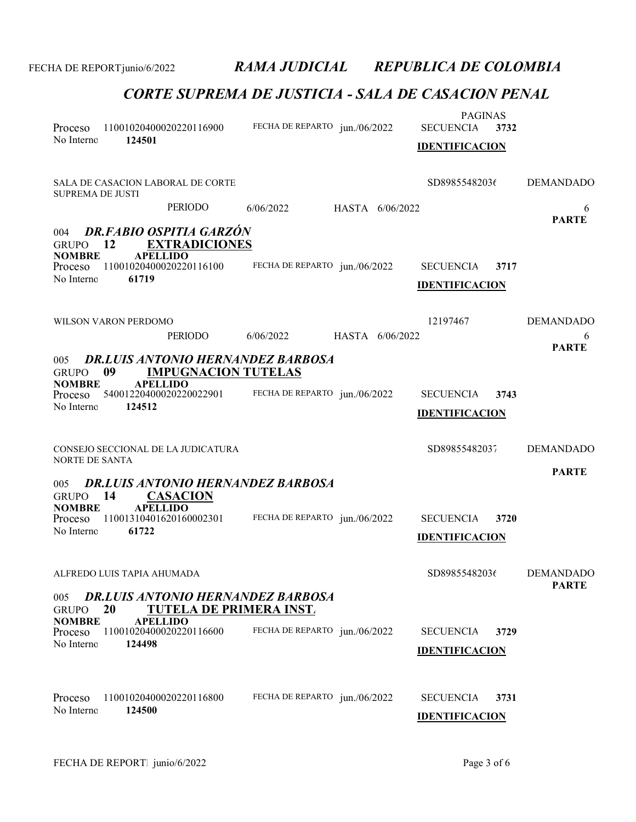| Proceso<br>No Interno                                         | 124501                           | 11001020400020220116900                                                           | FECHA DE REPARTO jun./06/2022            |                 | <b>PAGINAS</b><br><b>SECUENCIA</b><br><b>IDENTIFICACION</b> | 3732 |                                  |
|---------------------------------------------------------------|----------------------------------|-----------------------------------------------------------------------------------|------------------------------------------|-----------------|-------------------------------------------------------------|------|----------------------------------|
| <b>SUPREMA DE JUSTI</b>                                       |                                  | SALA DE CASACION LABORAL DE CORTE                                                 |                                          |                 | SD89855482036                                               |      | <b>DEMANDADO</b>                 |
|                                                               |                                  | PERIODO                                                                           | 6/06/2022                                | HASTA 6/06/2022 |                                                             |      | 6                                |
| 004<br><b>GRUPO</b><br><b>NOMBRE</b><br>Proceso<br>No Interno | - 12<br><b>APELLIDO</b><br>61719 | <b>DR.FABIO OSPITIA GARZÓN</b><br><b>EXTRADICIONES</b><br>11001020400020220116100 | FECHA DE REPARTO jun./06/2022            |                 | <b>SECUENCIA</b><br><b>IDENTIFICACION</b>                   | 3717 | <b>PARTE</b>                     |
|                                                               | WILSON VARON PERDOMO             |                                                                                   |                                          |                 | 12197467                                                    |      | <b>DEMANDADO</b>                 |
|                                                               |                                  | <b>PERIODO</b>                                                                    | 6/06/2022                                | HASTA 6/06/2022 |                                                             |      | 6<br><b>PARTE</b>                |
| 005<br><b>GRUPO</b><br><b>NOMBRE</b>                          | 09<br><b>APELLIDO</b>            | <b>IMPUGNACION TUTELAS</b>                                                        | <b>DR.LUIS ANTONIO HERNANDEZ BARBOSA</b> |                 |                                                             |      |                                  |
| Proceso<br>No Interno                                         | 124512                           | 54001220400020220022901                                                           | FECHA DE REPARTO jun./06/2022            |                 | <b>SECUENCIA</b><br><b>IDENTIFICACION</b>                   | 3743 |                                  |
|                                                               |                                  |                                                                                   |                                          |                 |                                                             |      |                                  |
| <b>NORTE DE SANTA</b>                                         |                                  | CONSEJO SECCIONAL DE LA JUDICATURA                                                |                                          |                 | SD89855482037                                               |      | <b>DEMANDADO</b>                 |
| 005                                                           |                                  |                                                                                   | <b>DR.LUIS ANTONIO HERNANDEZ BARBOSA</b> |                 |                                                             |      | <b>PARTE</b>                     |
| GRUPO 14                                                      |                                  | <b>CASACION</b>                                                                   |                                          |                 |                                                             |      |                                  |
| <b>NOMBRE</b><br>Proceso<br>No Interno                        | <b>APELLIDO</b><br>61722         | 11001310401620160002301                                                           | FECHA DE REPARTO jun./06/2022            |                 | <b>SECUENCIA</b><br><b>IDENTIFICACION</b>                   | 3720 |                                  |
|                                                               |                                  |                                                                                   |                                          |                 |                                                             |      |                                  |
|                                                               | ALFREDO LUIS TAPIA AHUMADA       |                                                                                   |                                          |                 | SD89855482036                                               |      | <b>DEMANDADO</b><br><b>PARTE</b> |
| 005<br><b>GRUPO</b><br><b>NOMBRE</b>                          | 20<br><b>APELLIDO</b>            | <b>TUTELA DE PRIMERA INST.</b>                                                    | <b>DR.LUIS ANTONIO HERNANDEZ BARBOSA</b> |                 |                                                             |      |                                  |
| Proceso<br>No Interno                                         | 124498                           | 11001020400020220116600                                                           | FECHA DE REPARTO jun./06/2022            |                 | <b>SECUENCIA</b>                                            | 3729 |                                  |
|                                                               |                                  |                                                                                   |                                          |                 | <b>IDENTIFICACION</b>                                       |      |                                  |
| Proceso                                                       |                                  | 11001020400020220116800                                                           | FECHA DE REPARTO jun./06/2022            |                 | <b>SECUENCIA</b>                                            | 3731 |                                  |
| No Interno                                                    | 124500                           |                                                                                   |                                          |                 | <b>IDENTIFICACION</b>                                       |      |                                  |
|                                                               |                                  |                                                                                   |                                          |                 |                                                             |      |                                  |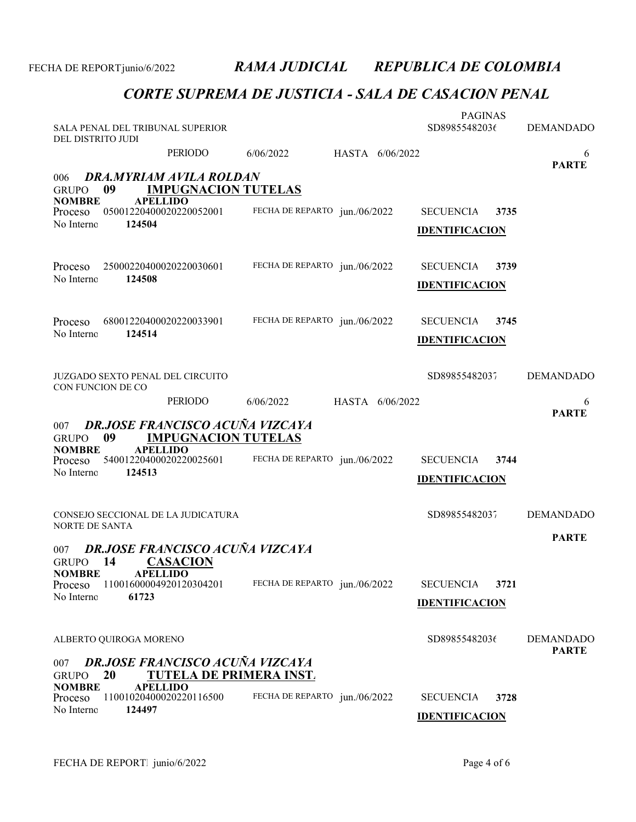| SALA PENAL DEL TRIBUNAL SUPERIOR<br>DEL DISTRITO JUDI               |                                                                          |                               |                 | <b>PAGINAS</b><br>SD89855482036           |      | <b>DEMANDADO</b>                 |
|---------------------------------------------------------------------|--------------------------------------------------------------------------|-------------------------------|-----------------|-------------------------------------------|------|----------------------------------|
|                                                                     | PERIODO                                                                  | 6/06/2022                     | HASTA 6/06/2022 |                                           |      | 6<br><b>PARTE</b>                |
| 006<br>09<br><b>GRUPO</b>                                           | DRA.MYRIAM AVILA ROLDAN<br><b>IMPUGNACION TUTELAS</b>                    |                               |                 |                                           |      |                                  |
| <b>NOMBRE</b><br><b>APELLIDO</b><br>Proceso<br>No Interno<br>124504 | 05001220400020220052001                                                  | FECHA DE REPARTO jun./06/2022 |                 | <b>SECUENCIA</b><br><b>IDENTIFICACION</b> | 3735 |                                  |
| Proceso                                                             | 25000220400020220030601                                                  | FECHA DE REPARTO jun./06/2022 |                 | <b>SECUENCIA</b>                          | 3739 |                                  |
| No Interno<br>124508                                                |                                                                          |                               |                 | <b>IDENTIFICACION</b>                     |      |                                  |
| Proceso<br>No Interno<br>124514                                     | 68001220400020220033901                                                  | FECHA DE REPARTO jun./06/2022 |                 | <b>SECUENCIA</b><br><b>IDENTIFICACION</b> | 3745 |                                  |
| <b>JUZGADO SEXTO PENAL DEL CIRCUITO</b><br>CON FUNCION DE CO        |                                                                          |                               |                 | SD89855482037                             |      | <b>DEMANDADO</b>                 |
|                                                                     | PERIODO                                                                  | 6/06/2022                     | HASTA 6/06/2022 |                                           |      | 6<br><b>PARTE</b>                |
| 007<br>09<br><b>GRUPO</b>                                           | <b>DR.JOSE FRANCISCO ACUÑA VIZCAYA</b><br><b>IMPUGNACION TUTELAS</b>     |                               |                 |                                           |      |                                  |
| <b>APELLIDO</b><br><b>NOMBRE</b><br>Proceso<br>124513<br>No Interno | 54001220400020220025601                                                  | FECHA DE REPARTO jun./06/2022 |                 | <b>SECUENCIA</b>                          | 3744 |                                  |
|                                                                     |                                                                          |                               |                 | <b>IDENTIFICACION</b>                     |      |                                  |
| CONSEJO SECCIONAL DE LA JUDICATURA<br><b>NORTE DE SANTA</b>         |                                                                          |                               |                 | SD89855482037                             |      | <b>DEMANDADO</b>                 |
| 007                                                                 | <b>DR.JOSE FRANCISCO ACUÑA VIZCAYA</b>                                   |                               |                 |                                           |      | <b>PARTE</b>                     |
| 14<br><b>GRUPO</b><br><b>NOMBRE</b><br><b>APELLIDO</b>              | <b>CASACION</b>                                                          |                               |                 |                                           |      |                                  |
| Proceso<br>No Interno<br>61723                                      | 11001600004920120304201                                                  | FECHA DE REPARTO jun./06/2022 |                 | <b>SECUENCIA</b><br><b>IDENTIFICACION</b> | 3721 |                                  |
|                                                                     |                                                                          |                               |                 |                                           |      |                                  |
| ALBERTO QUIROGA MORENO                                              |                                                                          |                               |                 | SD89855482036                             |      | <b>DEMANDADO</b><br><b>PARTE</b> |
| 007<br>20<br><b>GRUPO</b>                                           | <b>DR.JOSE FRANCISCO ACUÑA VIZCAYA</b><br><b>TUTELA DE PRIMERA INST.</b> |                               |                 |                                           |      |                                  |
| <b>NOMBRE</b><br><b>APELLIDO</b><br>Proceso<br>No Interno<br>124497 | 11001020400020220116500                                                  | FECHA DE REPARTO jun./06/2022 |                 | <b>SECUENCIA</b>                          | 3728 |                                  |
|                                                                     |                                                                          |                               |                 | <b>IDENTIFICACION</b>                     |      |                                  |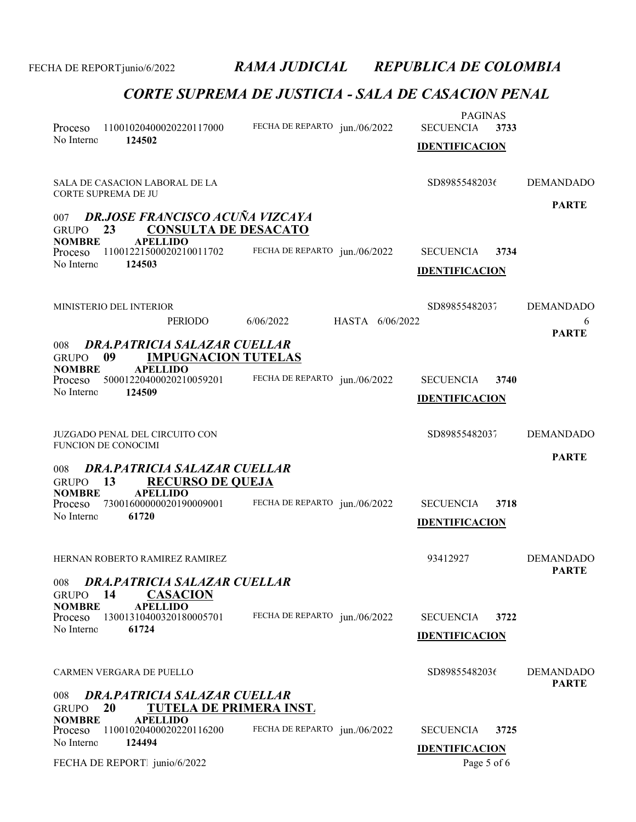| Proceso<br>No Interno                                               | 11001020400020220117000<br>124502                                                                                             | FECHA DE REPARTO jun./06/2022 |                 | <b>PAGINAS</b><br><b>SECUENCIA</b><br><b>IDENTIFICACION</b> | 3733 |                                       |
|---------------------------------------------------------------------|-------------------------------------------------------------------------------------------------------------------------------|-------------------------------|-----------------|-------------------------------------------------------------|------|---------------------------------------|
| CORTE SUPREMA DE JU                                                 | SALA DE CASACION LABORAL DE LA                                                                                                |                               |                 | SD89855482036                                               |      | <b>DEMANDADO</b>                      |
| 007<br>23<br><b>GRUPO</b><br><b>NOMBRE</b><br>Proceso<br>No Interno | <b>DR.JOSE FRANCISCO ACUÑA VIZCAYA</b><br><b>CONSULTA DE DESACATO</b><br><b>APELLIDO</b><br>11001221500020210011702<br>124503 | FECHA DE REPARTO jun./06/2022 |                 | <b>SECUENCIA</b><br><b>IDENTIFICACION</b>                   | 3734 | <b>PARTE</b>                          |
| MINISTERIO DEL INTERIOR                                             | <b>PERIODO</b>                                                                                                                | 6/06/2022                     | HASTA 6/06/2022 | SD89855482037                                               |      | <b>DEMANDADO</b><br>6<br><b>PARTE</b> |
| 008<br>09<br><b>GRUPO</b><br><b>NOMBRE</b><br>Proceso<br>No Interno | DRA, PATRICIA SALAZAR CUELLAR<br><b>IMPUGNACION TUTELAS</b><br><b>APELLIDO</b><br>50001220400020210059201<br>124509           | FECHA DE REPARTO jun./06/2022 |                 | <b>SECUENCIA</b><br><b>IDENTIFICACION</b>                   | 3740 |                                       |
| <b>FUNCION DE CONOCIMI</b>                                          | JUZGADO PENAL DEL CIRCUITO CON                                                                                                |                               |                 | SD89855482037                                               |      | <b>DEMANDADO</b>                      |
| 008<br>13<br><b>GRUPO</b><br><b>NOMBRE</b><br>Proceso<br>No Interno | DRA.PATRICIA SALAZAR CUELLAR<br><b>RECURSO DE QUEJA</b><br><b>APELLIDO</b><br>73001600000020190009001<br>61720                | FECHA DE REPARTO jun./06/2022 |                 | <b>SECUENCIA</b><br><b>IDENTIFICACION</b>                   | 3718 | <b>PARTE</b>                          |
|                                                                     | HERNAN ROBERTO RAMIREZ RAMIREZ                                                                                                |                               |                 | 93412927                                                    |      | <b>DEMANDADO</b><br><b>PARTE</b>      |
| 008<br>14<br><b>GRUPO</b><br><b>NOMBRE</b><br>Proceso<br>No Interno | <b>DRA.PATRICIA SALAZAR CUELLAR</b><br><b>CASACION</b><br><b>APELLIDO</b><br>13001310400320180005701<br>61724                 | FECHA DE REPARTO jun./06/2022 |                 | <b>SECUENCIA</b><br><b>IDENTIFICACION</b>                   | 3722 |                                       |
| CARMEN VERGARA DE PUELLO                                            |                                                                                                                               |                               |                 | SD89855482036                                               |      | <b>DEMANDADO</b><br><b>PARTE</b>      |
| 008<br>20<br><b>GRUPO</b><br><b>NOMBRE</b>                          | DRA, PATRICIA SALAZAR CUELLAR<br><b>TUTELA DE PRIMERA INST.</b><br><b>APELLIDO</b>                                            |                               |                 |                                                             |      |                                       |
| Proceso<br>No Interno                                               | 11001020400020220116200<br>124494                                                                                             | FECHA DE REPARTO jun./06/2022 |                 | <b>SECUENCIA</b><br><b>IDENTIFICACION</b>                   | 3725 |                                       |
| FECHA DE REPORT junio/6/2022                                        |                                                                                                                               |                               |                 | Page 5 of 6                                                 |      |                                       |